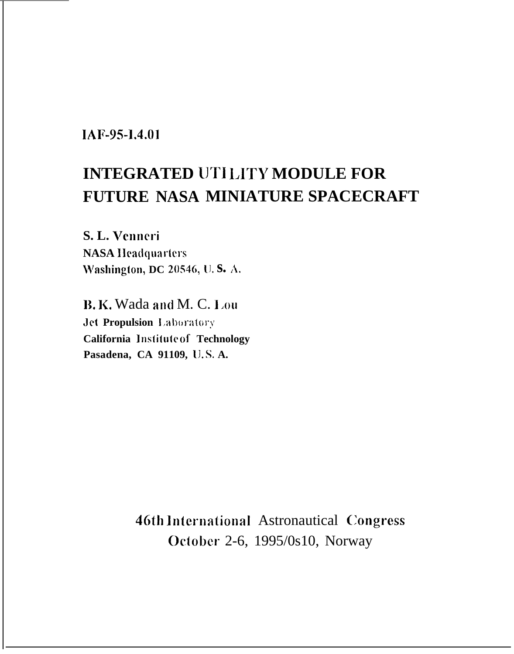# IAF-95-1.4.01

# **INTEGRATED UTILITY MODULE FOR** FUTURE NASA MINIATURE SPACECRAFT

S. L. Venneri **NASA Headquarters** Washington, DC 20546, U.S. A.

B.K. Wada and M.C. Lou **Jet Propulsion Laboratory** California Institute of Technology Pasadena, CA 91109, U.S.A.

> 46th International Astronautical Congress October 2-6, 1995/0s10, Norway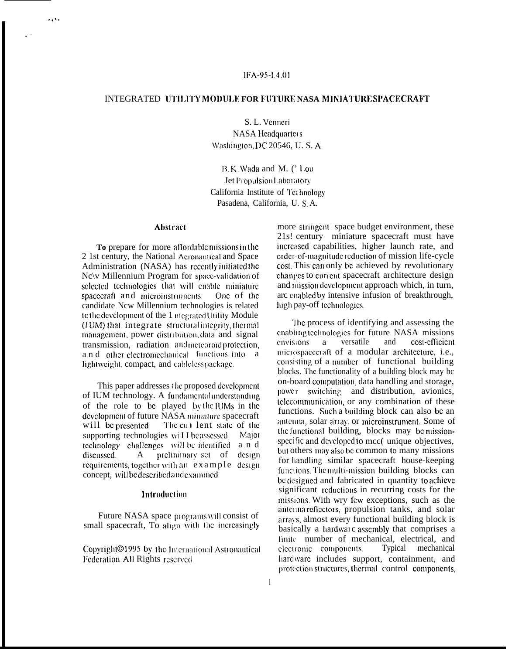### IFA-95-1.4.01

## INTEGRATED UTILITY MODULE FOR FUTURE NASA MINIATURE SPACECRAFT

S. L. Venneri NASA Headquarters Washington, DC 20546, U.S.A.

B.K. Wada and M. ('Lou Jet Propulsion Laboratory California Institute of Technology Pasadena, California, U. S.A.

#### **Abstract**

 $\mathbf{A}$ 

To prepare for more affordable missions in the 2 1st century, the National Aeronautical and Space Administration (NASA) has recently initiated the Nc\v Millennium Program for space-validation of selected technologies that will enable miniature spacecraft and microinstruments. One of the candidate Ncw Millennium technologies is related to the development of the 1 megrated Utility Module (IUM) that integrate structural integrity, thermal management, power distribution data and signal transmission, radiation and meteoroid protection. and other electromechanical functions into a lightweight, compact, and cablelesspackage.

This paper addresses the proposed development of IUM technology. A fundamental understanding of the role to be played by the IUMs in the development of future NASA miniature spacecraft will be presented. The cut lent state of the supporting technologies will be assessed. Major technology challenges will be identified and  $\mathbf{A}$ preliminary set of design discussed. requirements, together with an example design concept, will be described and examined.

#### Introduction

Future NASA space programs will consist of small spacecraft, To align with the increasingly

Copyright©1995 by the International Astronautical Federation. All Rights reserved.

more stringent space budget environment, these 21s! century miniature spacecraft must have increased capabilities, higher launch rate, and order of magnitude reduction of mission life-cycle cost. This can only be achieved by revolutionary changes to current spacecraft architecture design and mission development approach which, in turn, arc enabled by intensive infusion of breakthrough, high pay-off technologies.

The process of identifying and assessing the enabling technologies for future NASA missions *envisions* a versatile and cost-efficient microspacecraft of a modular architecture. i.e., consisting of a number of functional building blocks. The functionality of a building block may be on-board computation, data handling and storage, power switching and distribution, avionics, telecommunication, or any combination of these functions. Such a building block can also be an antenna, solar array, or microinstrument. Some of the functional building, blocks may be missionspecific and developed to mcc(unique objectives, but others may also be common to many missions for handling similar spacecraft house-keeping functions. The multi-mission building blocks can be designed and fabricated in quantity to achieve significant reductions in recurring costs for the missions. With wry few exceptions, such as the antenna reflectors, propulsion tanks, and solar arrays, almost every functional building block is basically a hardware assembly that comprises a finite number of mechanical, electrical, and Typical mechanical electronic components. hardware includes support, containment, and protection structures, thermal control components,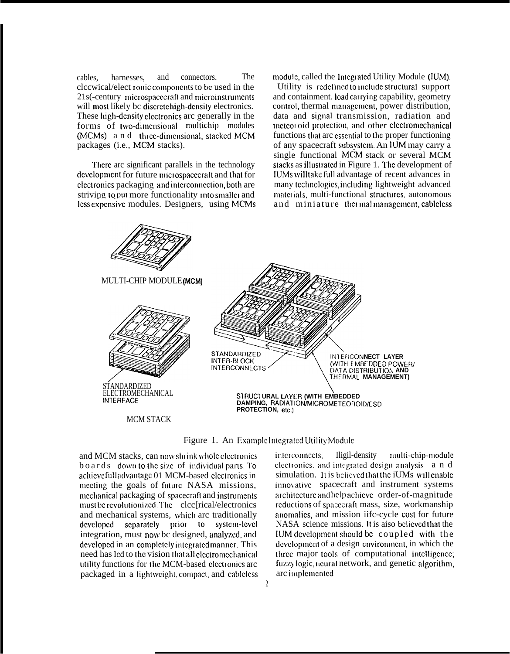The cables. harnesses. and connectors. clccwical/elect ronic components to be used in the 21s(-century microspacecraft and microinstruments will most likely be discrete high-density electronics. These high-density electronics are generally in the forms of two-dimensional multichip modules (MCMs) a n d three-dimensional, stacked MCM packages (i.e., MCM stacks).

There are significant parallels in the technology development for future microspacecraft and that for electronics packaging and interconnection, both are striving to put more functionality into smaller and less expensive modules. Designers, using MCMs module, called the Integrated Utility Module (IUM).

Utility is redefined to include structural support and containment. load carrying capability, geometry control, thermal management, power distribution, data and signal transmission, radiation and meteor oid protection, and other electromechanical functions that arc essential to the proper functioning of any spacecraft subsystem. An IUM may carry a single functional MCM stack or several MCM stacks as illustrated in Figure 1. The development of IUMs will take full advantage of recent advances in many technologies, including lightweight advanced materials, multi-functional structures, autonomous and miniature thermal management, cableless



Figure 1. An Example Integrated Utility Module

and MCM stacks, can now shrink whole electronics boards down to the size of individual parts. To achievefulladvantage 01 MCM-based electronics in meeting the goals of future NASA missions, mechanical packaging of spacecraft and instruments must be revolutionized. The clec[rical/electronics and mechanical systems, which arc traditionally developed separately prior to system-level integration, must now bc designed, analyzed, and developed in an completely integrated manner. This need has led to the vision that all electromechanical utility functions for the MCM-based electronics are packaged in a lightweight, compact, and cableless

Iligil-density interconnects. multi-chip-module electronics, and integrated design analysis a n d simulation. It is believed that the iUMs will enable innovative spacecraft and instrument systems architecture and help achieve order-of-magnitude reductions of spacecraft mass, size, workmanship anomalies, and mission iifc-cycle cost for future NASA science missions. It is also believed that the IUM development should be coupled with the development of a design environment, in which the three major tools of computational intelligence; fuzzylogic, neural network, and genetic algorithm, arc implemented.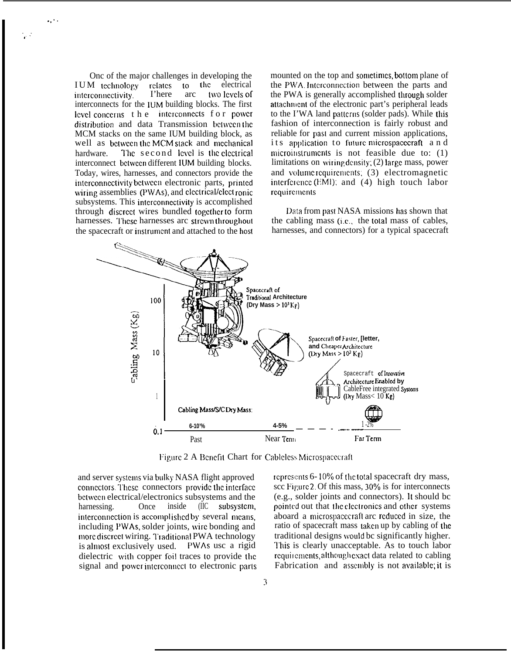Onc of the major challenges in developing the IUM technology relates to the electrical<br>interconnectivity. There are two levels of interconnectivity. I'here arc interconnects for the lUM building blocks. The first  $level\text{ concerns }t\text{ }h\text{ }e\text{ }interconnects\text{ for power}$ distribution and data Transmission between the MCM stacks on the same IUM building block, as well as between the MCM stack and mechanical hardware. The second level is the electrical interconnect bctwccn different IIJM building blocks. Today, wires, harnesses, and connectors provide the interconnectivity between electronic parts, printed wiring assemblies (PWAs), and electrical/electronic subsystems. This interconnectivity is accomplished through discrect wires bundled together to form harnesses. These harnesses arc strewn throughout the spacecraft or instrument and attached to the host

.,'.

. . ,.

> mounted on the top and sometimes, bottom plane of the PWA. Interconnection between the parts and the PWA is generally accomplished lhrough solder attachment of the electronic part's peripheral leads to the I'WA land patterns (solder pads). While this fashion of interconnection is fairly robust and reliable for past and current mission applications, its application to future microspacecraft and microinstruments is not feasible due to: (1) limitations on wiring density;  $(2)$  large mass, power and volume requirements,  $(3)$  electromagnetic interference  $(HM)$ ; and  $(4)$  high touch labor requirements

> Data from past NASA missions has shown that the cabling mass (i.e., the total mass of cables, harnesses, and connectors) for a typical spacecraft



Figure 2 A Benefit Chart for Cableless Microspacecraft

and server systems via bulky NASA flight approved connectors. These connectors provide the interface bctwccn electrical/electronics subsystems and the harnessing. Once inside (IIC subsystem, harnessing. Once inside (IIC subsystem, interconnection is accomplished by several means, including PWAs, solder joints, wire bonding and more discreet wiring. Traditional PWA technology is almost exclusively used. PWAs usc a rigid dielectric with copper foil traces to provide the signal and power interconnect to electronic parts represents 6-10% of the total spacecraft dry mass, scc Figure 2. Of this mass, 30% is for interconnects (e.g., solder joints and connectors). lt should bc pointed out that the electronics and other systems aboard a microspacccrafl arc rcduccd in size, the ratio of spacecraft mass lakcn up by cabling of the traditional designs \vould bc significantly higher. I'his is clearly unacceptable. As to touch labor requirements, although exact data related to cabling Fabrication and assembly is not available; it is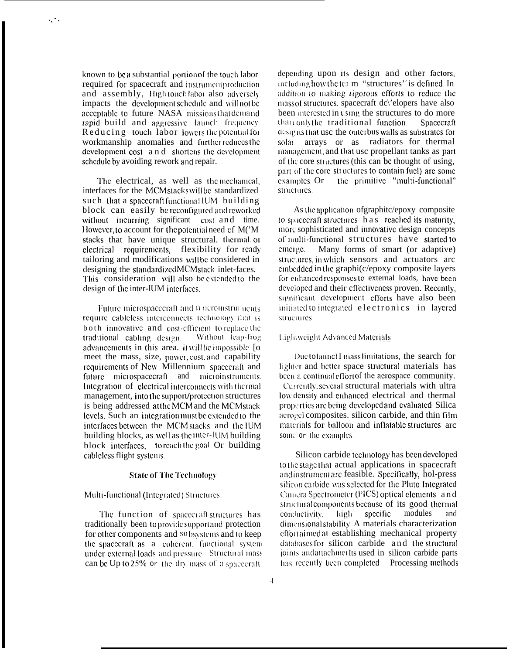known to be a substantial portion of the touch labor required for spacecraft and instrument production and assembly, Hightouch labor also adversely impacts the development schedule and will not be acceptable to future NASA missions that demand rapid build and aggressive launch frequency. Reducing touch labor lowers the potential for workmanship anomalies and further reduces the development cost and shortens the development schedule by avoiding rework and repair.

The electrical, as well as the mechanical, interfaces for the MCM stacks will be standardized such that a spacecraft functional IUM building block can easily be reconfigured and reworked without incurring significant cost and time. However, to account for the potential need of M('M stacks that have unique structural. thermal, or electrical requirements, flexibility for ready tailoring and modifications will be considered in designing the standardized MCM stack inlet-faces. This consideration will also be extended to the design of the inter-IUM interfaces.

Future microspacecraft and n ucromstruments require cableless interconnects technology that is both innovative and cost-efficient to replace the Without leap-frog traditional cabling design. advancements in this area. it will be impossible [o meet the mass, size, power, cost, and capability requirements of New Millennium spacecraft and future microspacecraft and microinstruments. Integration of electrical interconnects with thermal management, into the support/protection structures is being addressed at the MCM and the MCM stack levels. Such an integration must be extended to the interfaces between the MCM stacks and the IUM building blocks, as well as the inter-HJM building block interfaces, to reach the goal Or building cableless flight systems.

#### **State of The Technology**

#### Multi-functional (Integrated) Structures

The function of spacecraft structures has traditionally been to provide support and protection for other components and subsystems and to keep the spacecraft as a coherent, functional system under external loads and pressure Structural mass can be Up to 25% or the dry mass of a spacecraft

depending upon its design and other factors, including how the term "structures" is defined. In addition to making rigorous efforts to reduce the mass of structures, spacecraft dc\'elopers have also been interested in using the structures to do more than only the traditional function. Spacecraft designs that use the outerbus walls as substrates for arrays or as radiators for thermal solar management, and that use propellant tanks as part of the core structures (this can be thought of using, part of the core structures to contain fuel) are some examples Or the primitive "multi-functional" structures.

As the application of graphitc/epoxy composite to spacecraft structures has reached its maturity, more sophisticated and innovative design concepts of multi-functional structures have started to emerge. Many forms of smart (or adaptive) structures in which sensors and actuators are embedded in the graphi(c/epoxy composite layers for enhanced responses to external loads, have been developed and their effectiveness proven. Recently, significant development efforts have also been initiated to integrated electronics in layered structures

#### **Lightweight Advanced Materials**

Ductolauncl I mass limitations, the search for lighter and better space structural materials has been a continual effort of the aerospace community. Currently several structural materials with ultra low density and enhanced electrical and thermal properties are being developed and evaluated. Silica acrogel composites, silicon carbide, and thin film materials for balloon and inflatable structures are some or the examples.

Silicon carbide technology has been developed to the stage that actual applications in spacecraft and instrument are feasible. Specifically, hol-press silicon carbide was selected for the Pluto Integrated Camera Spectrometer (PICS) optical elements and structural components because of its good thermal high specific modules conductivity, and dimensional stability. A materials characterization effortaimed at establishing mechanical property databases for silicon carbide and the structural joints and attachmer Its used in silicon carbide parts has recently been completed Processing methods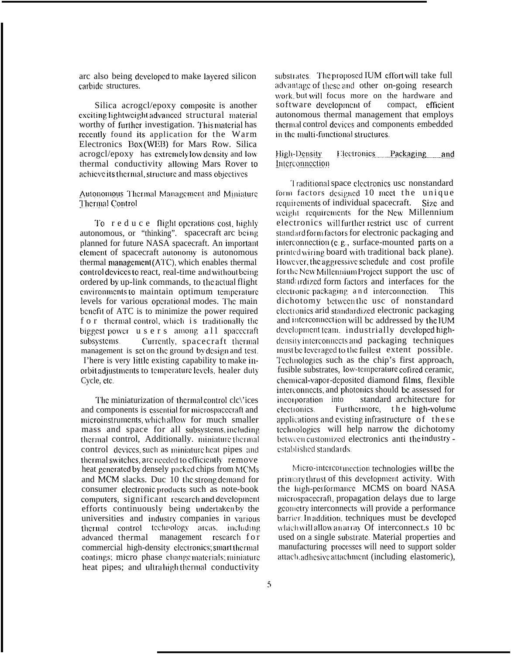arc also being dcvclopcd to make Iaycrcd silicon carbide structures.

Silica acrogcl/epoxy composite is another exciting lightweight advanced structural material worthy of further investigation. This material has recently found its application for the Warm Electronics Box (WEB) for Mars Row. Silica acrogcl/epoxy has extremely low density and low thermal conductivity allowing Mars Rover to achieve its thermal, structure and mass objectives

Autonomous Thermal Management and Miniature Thermal Control

To reduce flight operations cost, highly autonomous, or "thinking". spacecraft arc bci ng planned for future NASA spacecraft. An important clcmcn( of spacecraft aulonomy is autonomous thermal management  $(ATC)$ , which enables thermal control devices to react, real-time and without being ordered by up-link commands, to the actual flight environments to maintain optimum temperature levels for various operational modes. The main bcnctit of ATC is to minimize the power required f o r thermal control, which is traditionally the biggest power  $u \leq r \leq a$  among all spacecraft subsystems. Currently, spacecraft thermal management is set on the ground by design and test. I'here is very little existing capability to make inorbit adjustments to temperature levels, healer duty Cycle, etc.

The miniaturization of thermal control  $clc\$ <sup>'ices</sup> and components is essential for microspacecraft and microinstruments, which allow for much smaller mass and space for all subsystems, including thermal control, Additionally. miniature thermal control devices, such as miniature heat pipes and  $thermal$  switches, are needed to efficiently remove heat generated by densely packed chips from MCMs and MCM slacks. Duc 10 the strong demand for consumer electronic products such as note-book computers, significant research and development efforts continuously being undertaken by the universities and industry companies in various thermal control technology areas, including advanced thermal management research for commercial high-density electronics; smart thermal coatings; micro phase change materials; miniature heat pipes; and ultra high thermal conductivity substrates. The proposed IUM effort will take full advantage of these and other on-going research work, but will focus more on the hardware and<br>software development of compact, efficient software development of autonomous thermal management that employs lhcrmal control dcviccs and components embedded in the multi-functional structures.

High-Density Electronics Packaging and Interconnection

Traditional space electronics usc nonstandard form factors designed  $10$  meet the unique requirements of individual spacecraft. Size and weight requirements for the New Millennium electronics will further restrict usc of current standard form factors for electronic packaging and interconnection (e.g., surface-mounted parts on a printed wiring board with traditional back plane). However, the aggressive schedule and cost profile for the New Millennium Project support the usc of stand: irdized form factors and interfaces for the clectronic packaging and interconnection. This dichotomy between the usc of nonstandard electronics arid standardized electronic packaging and interconnection will be addressed by the IUM development team. industrially developed highdensity interconnects and packaging techniques must be leveraged to the fullest extent possible. Technologies such as the chip's first approach, fusible substrates, low-temperature cofired ceramic, chemical-vapor-deposited diamond films, flexible interconnects, and photonics should be assessed for<br>incorporation into standard architecture for standard architecture for clectronics. Furthermore, the high-volume applications and existing infrastructure of these technologies will help narrow the dichotomy between customized electronics anti-the industry established standards.

Micro-intercornection technologies will be the primary thrust of this development activity. With the high-performance MCMS on board NASA microspacecraft, propagation delays due to large geometry interconnects will provide a performance barrier. In addition, techniques must be developed which will allow an array Of interconnect.s 10 bc used on a single substrate. Material properties and manufacturing proccsscs will need to support solder attach. adhesiye attachment (including elastomeric),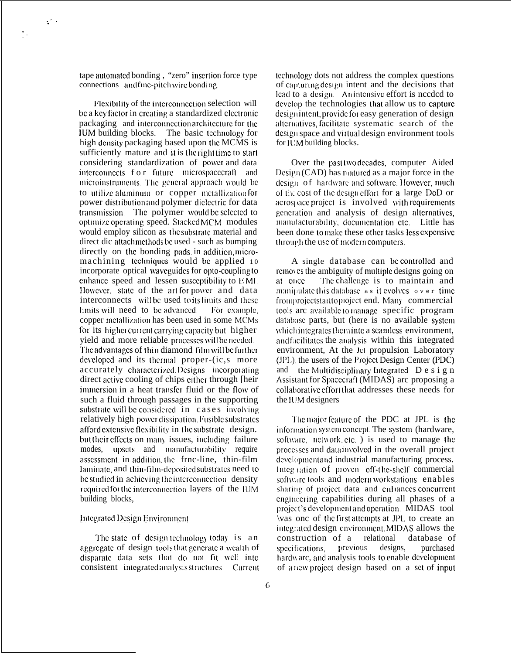tape automated bonding, "zero" insertion force type connections and fine-pitch wire bonding.

 $\mathcal{L}^{\mathcal{L}}$  :

Flexibility of the interconnection selection will be a key factor in creating a standardized electronic packaging and interconnection architecture for the IUM building blocks. The basic technology for high density packaging based upon the MCMS is sufficiently mature and it is the right time to start considering standardization of power and data interconnects for future microspacecraft and microinstruments. The general approach would be to utilize aluminum or copper metallization for power distribution and polymer diclectric for data transmission. The polymer would be selected to optimize operating speed. Stacked MCM modules would employ silicon as the substrate material and direct dic attachmethods be used - such as bumping directly on the bonding pads in addition micromachining techniques would be applied 10 incorporate optical waveguides for opto-coupling to enhance speed and lessen susceptibility to EMI. However, state of the art for power and data interconnects will be used to its limits and these limits will need to be advanced. For example. copper metallization has been used in some MCMs for its higher current carrying capacity but higher vield and more reliable processes will be needed. The advantages of thin diamond film will be further developed and its thermal proper-(ic,s more accurately characterized Designs incorporating direct active cooling of chips either through [heir immersion in a heat transfer fluid or the flow of such a fluid through passages in the supporting substrate will be considered in cases involving relatively high power dissipation. Fusible substrates afford extensive flexibility in the substrate design. but their effects on many issues, including failure modes, upsets and manufacturability require assessment in addition, the frnc-line, thin-film laminate, and thin-film-deposited substrates need to be studied in achieving the interconnection density required for the interconnection layers of the IUM building blocks,

#### Integrated Design Environment

The state of design technology today is an aggregate of design tools that generate a wealth of disparate data sets that do not fit well into consistent integrated analysis structures. Current

technology dots not address the complex questions of capturing design intent and the decisions that lead to a design. An intensive effort is needed to develop the technologies that allow us to capture designinient, provide for easy generation of design alternatives, facilitate systematic search of the design space and virtual design environment tools for IUM building blocks.

Over the past two decades, computer Aided  $Design (CAD)$  has matured as a major force in the design of hardware and software. However, much of the cost of the design effort for a large DoD or acrospace project is involved with requirements generation and analysis of design alternatives, manufacturability, documentation etc. Little has been done to make these other tasks less expensive through the use of modern computers.

A single database can be controlled and removes the ambiguity of multiple designs going on The challenge is to maintain and at once. manipulate this database as it evolves over time fromprojectstantoproject end. Many commercial tools are available to manage specific program database parts, but (here is no available system which integrates them into a seamless environment, and facilitates the analysis within this integrated environment, At the Jet propulsion Laboratory (JPL), the users of the Project Design Center (PDC) and the Multidisciplinary Integrated  $D e s i g n$ Assistant for Spacecraft (MIDAS) arc proposing a collaborative effort that addresses these needs for the IUM designers

The major feature of the PDC at JPL is the information system concept. The system (hardware, software, network, etc.) is used to manage the processes and data involved in the overall project development and industrial manufacturing process. Integration of proven off-the-shelf commercial software tools and modern workstations enables sharing of project data and enhances concurrent engineering capabilities during all phases of a project's development and operation. MIDAS tool \vas one of the first attempts at JPL to create an integrated design environment. MIDAS allows the construction of a relational database of previous specifications. designs. purchased hardware, and analysis tools to enable development of a new project design based on a set of input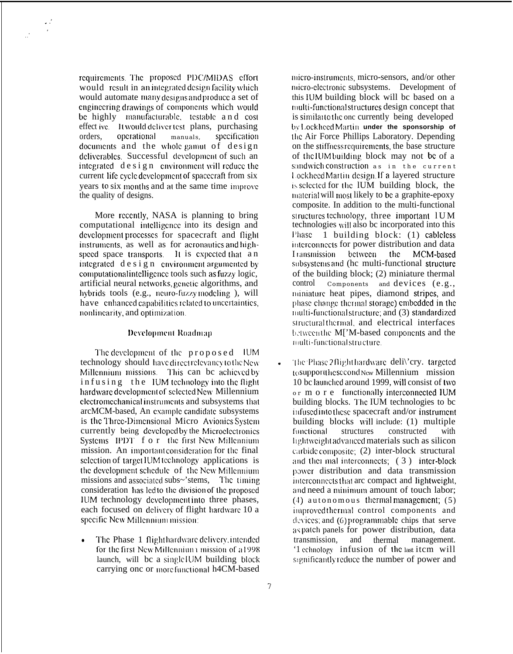requirements. The proposed PDC/MIDAS effort would result in an integrated design facility which would automate many designs and produce a set of engineering drawings of components which would be highly manufacturable, testable and cost effect ive. It would deliver test plans, purchasing operational manuals, specification orders. documents and the whole gamut of design deliverables. Successful development of such an integrated design environment will reduce the current life cycle development of spacecraft from six years to six months and at the same time improve the quality of designs.

 $\mathbb{R}^2$ 

More recently, NASA is planning to bring computational intelligence into its design and development processes for spacecraft and flight instruments, as well as for aeronautics and highspeed space transports. It is expected that an integrated design environment argumented by computational intelligence tools such as fuzzy logic, artificial neural networks, genetic algorithms, and hybrids tools (e.g., neuro-fuzzy modeling), will have enhanced capabilities related to uncertainties. nonlinearity, and optimization.

#### Development Roadmap

The development of the proposed IUM technology should have direct relevancy to the New Millennium missions. This can be achieved by infusing the IUM technology into the flight hardware development of selected New Millennium electromechanical instruments and subsystems that arcMCM-based, An example candidate subsystems is the Three-Dimensional Micro Avionics System currently being developed by the Microelectronics Systems IPDT f o r the first New Millennium mission. An important consideration for the final selection of target IUM technology applications is the development schedule of the New Millennium missions and associated subs~'stems, The timing consideration has led to the division of the proposed IUM technology development into three phases, each focused on delivery of flight hardware 10 a specific New Millennium mission.

The Phase 1 flighthardware delivery, intended for the first New Millennium mission of a1998 launch, will be a single IUM building block carrying one or more functional h4CM-based

micro-instruments, micro-sensors, and/or other micro-electronic subsystems. Development of this IUM building block will be based on a multi-functional structures design concept that is similar to the one currently being developed by Lockheed Martin under the sponsorship of the Air Force Phillips Laboratory. Depending on the stiffness requirements, the base structure of the IUM building block may not be of a sandwich construction as in the current Lockheed Martin design If a layered structure is selected for the IUM building block, the material will most likely to be a graphite-epoxy composite. In addition to the multi-functional structures technology, three important 1UM technologies will also be incorporated into this 1 building block: (1) cableless **Phase** interconnects for power distribution and data **Iransmission** between the MCM-based subsystems and (he multi-functional structure of the building block; (2) miniature thermal control Components and devices (e.g., miniature heat pipes, diamond stripes, and phase change thermal storage) embedded in the multi-functional structure; and (3) standardized structural thermal, and electrical interfaces between the M['M-based components and the multi-functional structure.

The Phase 2 flight hardware deli\'ery. targeted tosupportthesecond New Millennium mission 10 bc launched around 1999, will consist of two or m o r e functionally interconnected IUM building blocks. The IUM technologies to be infused into these spacecraft and/or instrument building blocks will include: (1) multiple structures constructed functional with lightweight advanced materials such as silicon carbide composite; (2) inter-block structural and thei mal interconnects; (3) inter-block power distribution and data transmission interconnects that are compact and lightweight, and need a minimum amount of touch labor;  $(4)$  autonomous thermal management;  $(5)$ improved thermal control components and devices; and (6) programmable chips that serve as patch panels for power distribution, data transmission, and thermal management. '1 echnology infusion of the last item will significantly reduce the number of power and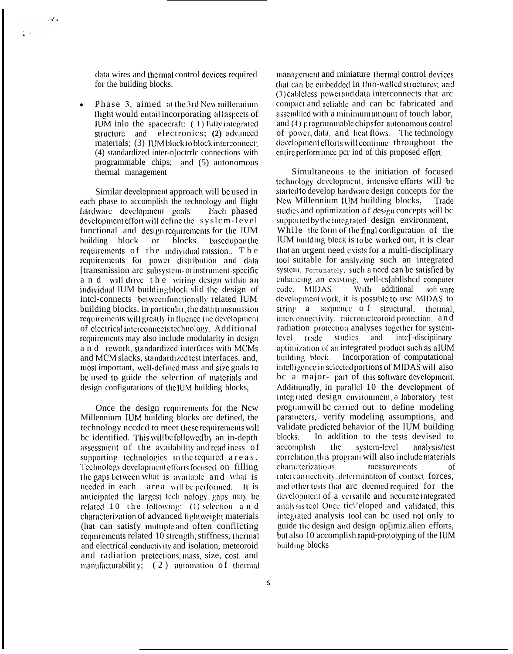data wires and (hcrmal control dcviccs required for the building blocks.

 $\mathbb{R}^{n}$ 

i V

Phase 3, aimed at the 3rd New millennium flight would entail incorporating all aspects of IUM inlo the spacecraft:  $(1)$  fully integrated structure and electronics; (2) advanced materials; (3) IUM block to block interconnect; (4) standardized inter-n]octrrlc connections with programmable chips; and (5) autonomous thermal management

Similar dcvclopmcnt approach will bc used in each phase to accomplish the technology and flight hardware development goals. Each phased development effort will define the  $s$ yslcm-level functional and design requirements for the lUM building block or blocks based upon the requirements of the individual mission. The requirements for power distribution and data [transmission arc subsystem-orinstrument-specific] a  $n \, d$  will drive the wiring design within an individual IUM build ing block slid the design of intcl-connects between functionally related lUM building blocks, in particular, the data transmission requirements will greatly in fluence the development of electrical interconnects technology. Additional requirements may also include modularity in design a n d rework, standardized interfaces with MCMs and MCM slacks, standardized test interfaces. and, most important, well-defined mass and size goals to bc used to guide the selection of malcrials and design configurations of the IUM building blocks,

Once the design rcquircmcnls for the Ncw Millennium IUM building blocks arc defined, the technology nccdcd to meet these requirements will bc identified. This will be followed by an in-depth assessment of the availability and read iness of supporting technologies in the required  $\arccos$ . Technology development efforts focused on filling the gaps between what is available and what is needed in each area will be performed. It is anticipated the largest tech nology gaps may be related  $10$  the following; (1) selection and characterization of advanced lightweight materials (hat can satisfy multiple and often conflicting requirements related 10 strength, stiffness, thermal and electrical conductivity and isolation, meteoroid and radiation protections mass, size, cost, and  $m$ anufacturabilit y;  $(2)$  automation of thermal management and miniature thermal control devices that can be embedded in thin-walled structures; and  $(3)$  cableless power and data interconnects that arc compact and reliable and can bc fabricated and assembled with a minimum amount of touch labor, and (4) programmable chips for autonomous control of power, data, and heat flows. The technology development efforts will continue throughout the entirc performance pcr iod of this proposed effort.

Simultaneous 10 the initiation of focused technology development, intensive efforts will be started to develop hardware design concepts for the New Millennium IUM building blocks, Trade studies and optimization of design concepts will be supported by the integrated design environment, While the form of the final configuration of the lUM building block is to be worked out, it is clear (hat an urgent need cxisls for a multi-disciplinary 1001 suitable for analyi.ing such an integrated system. Fortunately, such a need can be satisfied by enhancing an existing, well-cs[ablished computer code. MIDAS. With additional soft-ware development work, it is possible to usc MIDAS to string a sequence o f structural, thermal, interconnectivity, micrometeoroid protection, and radiation protection analyses together for systemlevel trade studies and intel -discipiinary optimization of an integrated product such as a IUM **buiiding** biock. Incorporation of computational intelligence in selected portions of MIDAS will aiso bc a major- part of this software development. Additionally, in parallel  $10$  the development of integrated design cnvironment, a laboratory test program will be carried out to define modeling parameters, verify modeling assumptions, and validate prcdictcd behavior of the IUM building blocks. In addition to the tests devised to accomplish the system-level analysis/test correlation, this program will also include materials characterizations. measurements of interconnectivity, determination of contact forces, and other tests that arc deemed required for the development of a versatile and accurate integrated analysis tool. Once tic $\langle$ 'eloped and validated, this integrated analysis tool can bc used not only to guide the design and design op[imiz.alien efforts, but also 10 accomplish rapid-prototyping of the IUM building blocks